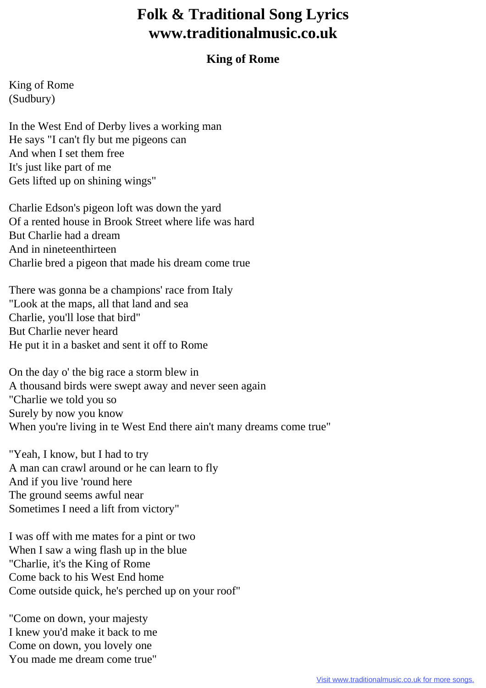## **Folk & Traditional Song Lyrics www.traditionalmusic.co.uk**

## **King of Rome**

King of Rome (Sudbury)

In the West End of Derby lives a working man He says "I can't fly but me pigeons can And when I set them free It's just like part of me Gets lifted up on shining wings"

Charlie Edson's pigeon loft was down the yard Of a rented house in Brook Street where life was hard But Charlie had a dream And in nineteenthirteen Charlie bred a pigeon that made his dream come true

There was gonna be a champions' race from Italy "Look at the maps, all that land and sea Charlie, you'll lose that bird" But Charlie never heard He put it in a basket and sent it off to Rome

On the day o' the big race a storm blew in A thousand birds were swept away and never seen again "Charlie we told you so Surely by now you know When you're living in te West End there ain't many dreams come true"

"Yeah, I know, but I had to try A man can crawl around or he can learn to fly And if you live 'round here The ground seems awful near Sometimes I need a lift from victory"

I was off with me mates for a pint or two When I saw a wing flash up in the blue "Charlie, it's the King of Rome Come back to his West End home Come outside quick, he's perched up on your roof"

"Come on down, your majesty I knew you'd make it back to me Come on down, you lovely one You made me dream come true"